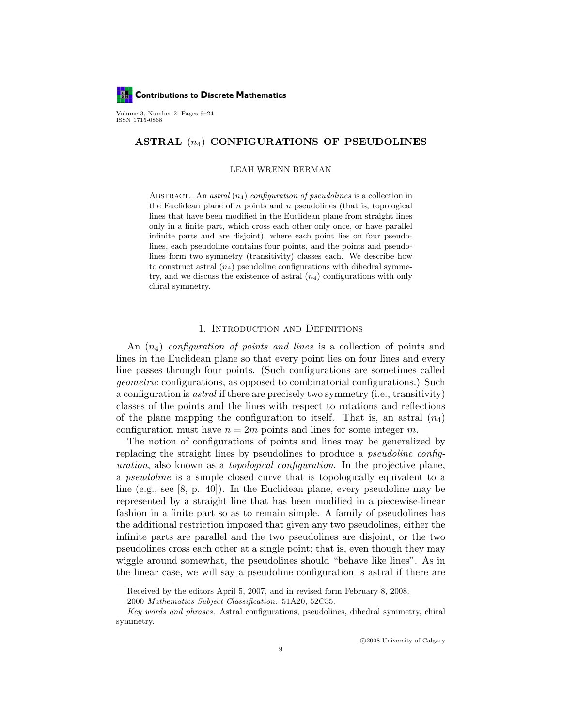

Volume 3, Number 2, Pages 9–24 ISSN 1715-0868

# ASTRAL  $(n_4)$  CONFIGURATIONS OF PSEUDOLINES

#### LEAH WRENN BERMAN

ABSTRACT. An astral  $(n_4)$  configuration of pseudolines is a collection in the Euclidean plane of  $n$  points and  $n$  pseudolines (that is, topological lines that have been modified in the Euclidean plane from straight lines only in a finite part, which cross each other only once, or have parallel infinite parts and are disjoint), where each point lies on four pseudolines, each pseudoline contains four points, and the points and pseudolines form two symmetry (transitivity) classes each. We describe how to construct astral  $(n_4)$  pseudoline configurations with dihedral symmetry, and we discuss the existence of astral  $(n_4)$  configurations with only chiral symmetry.

## 1. Introduction and Definitions

An  $(n_4)$  configuration of points and lines is a collection of points and lines in the Euclidean plane so that every point lies on four lines and every line passes through four points. (Such configurations are sometimes called geometric configurations, as opposed to combinatorial configurations.) Such a configuration is astral if there are precisely two symmetry (i.e., transitivity) classes of the points and the lines with respect to rotations and reflections of the plane mapping the configuration to itself. That is, an astral  $(n_4)$ configuration must have  $n = 2m$  points and lines for some integer m.

The notion of configurations of points and lines may be generalized by replacing the straight lines by pseudolines to produce a pseudoline configuration, also known as a topological configuration. In the projective plane, a pseudoline is a simple closed curve that is topologically equivalent to a line (e.g., see [8, p. 40]). In the Euclidean plane, every pseudoline may be represented by a straight line that has been modified in a piecewise-linear fashion in a finite part so as to remain simple. A family of pseudolines has the additional restriction imposed that given any two pseudolines, either the infinite parts are parallel and the two pseudolines are disjoint, or the two pseudolines cross each other at a single point; that is, even though they may wiggle around somewhat, the pseudolines should "behave like lines". As in the linear case, we will say a pseudoline configuration is astral if there are

Received by the editors April 5, 2007, and in revised form February 8, 2008.

<sup>2000</sup> Mathematics Subject Classification. 51A20, 52C35.

Key words and phrases. Astral configurations, pseudolines, dihedral symmetry, chiral symmetry.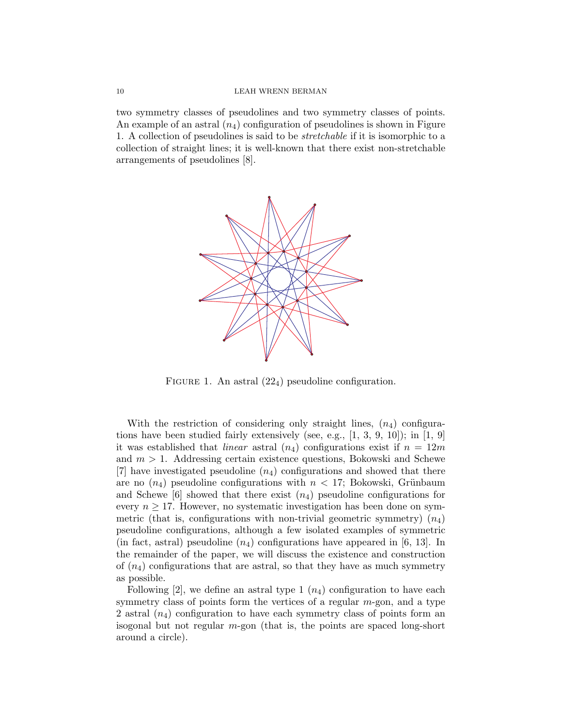two symmetry classes of pseudolines and two symmetry classes of points. An example of an astral  $(n_4)$  configuration of pseudolines is shown in Figure 1. A collection of pseudolines is said to be stretchable if it is isomorphic to a collection of straight lines; it is well-known that there exist non-stretchable arrangements of pseudolines [8].



FIGURE 1. An astral  $(22_4)$  pseudoline configuration.

With the restriction of considering only straight lines,  $(n_4)$  configurations have been studied fairly extensively (see, e.g.,  $[1, 3, 9, 10]$ ); in  $[1, 9]$ it was established that *linear* astral  $(n_4)$  configurations exist if  $n = 12m$ and  $m > 1$ . Addressing certain existence questions, Bokowski and Schewe  $[7]$  have investigated pseudoline  $(n_4)$  configurations and showed that there are no  $(n_4)$  pseudoline configurations with  $n < 17$ ; Bokowski, Grünbaum and Schewe  $[6]$  showed that there exist  $(n_4)$  pseudoline configurations for every  $n \geq 17$ . However, no systematic investigation has been done on symmetric (that is, configurations with non-trivial geometric symmetry)  $(n_4)$ pseudoline configurations, although a few isolated examples of symmetric (in fact, astral) pseudoline  $(n_4)$  configurations have appeared in [6, 13]. In the remainder of the paper, we will discuss the existence and construction of  $(n_4)$  configurations that are astral, so that they have as much symmetry as possible.

Following [2], we define an astral type 1  $(n_4)$  configuration to have each symmetry class of points form the vertices of a regular  $m$ -gon, and a type 2 astral  $(n_4)$  configuration to have each symmetry class of points form an isogonal but not regular m-gon (that is, the points are spaced long-short around a circle).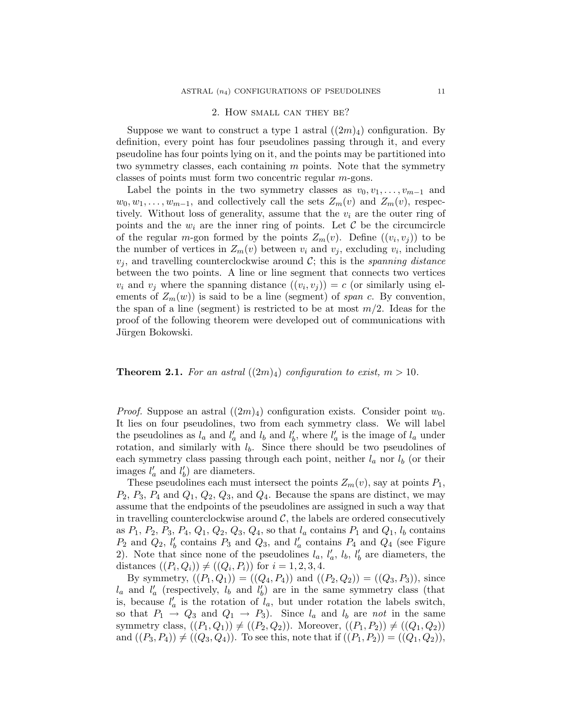## 2. How small can they be?

Suppose we want to construct a type 1 astral  $((2m)_4)$  configuration. By definition, every point has four pseudolines passing through it, and every pseudoline has four points lying on it, and the points may be partitioned into two symmetry classes, each containing  $m$  points. Note that the symmetry classes of points must form two concentric regular m-gons.

Label the points in the two symmetry classes as  $v_0, v_1, \ldots, v_{m-1}$  and  $w_0, w_1, \ldots, w_{m-1}$ , and collectively call the sets  $Z_m(v)$  and  $Z_m(v)$ , respectively. Without loss of generality, assume that the  $v_i$  are the outer ring of points and the  $w_i$  are the inner ring of points. Let  $\mathcal C$  be the circumcircle of the regular m-gon formed by the points  $Z_m(v)$ . Define  $((v_i, v_j))$  to be the number of vertices in  $Z_m(v)$  between  $v_i$  and  $v_j$ , excluding  $v_i$ , including  $v_j$ , and travelling counterclockwise around C; this is the *spanning distance* between the two points. A line or line segment that connects two vertices  $v_i$  and  $v_j$  where the spanning distance  $((v_i, v_j)) = c$  (or similarly using elements of  $Z_m(w)$  is said to be a line (segment) of span c. By convention, the span of a line (segment) is restricted to be at most  $m/2$ . Ideas for the proof of the following theorem were developed out of communications with Jürgen Bokowski.

## **Theorem 2.1.** For an astral  $((2m)_4)$  configuration to exist,  $m > 10$ .

*Proof.* Suppose an astral  $((2m)_4)$  configuration exists. Consider point  $w_0$ . It lies on four pseudolines, two from each symmetry class. We will label the pseudolines as  $l_a$  and  $l'_a$  and  $l'_b$  and  $l'_b$ , where  $l'_a$  is the image of  $l_a$  under rotation, and similarly with  $l_b$ . Since there should be two pseudolines of each symmetry class passing through each point, neither  $l_a$  nor  $l_b$  (or their images  $l'_a$  and  $l'_b$ ) are diameters.

These pseudolines each must intersect the points  $Z_m(v)$ , say at points  $P_1$ ,  $P_2$ ,  $P_3$ ,  $P_4$  and  $Q_1$ ,  $Q_2$ ,  $Q_3$ , and  $Q_4$ . Because the spans are distinct, we may assume that the endpoints of the pseudolines are assigned in such a way that in travelling counterclockwise around  $\mathcal{C}$ , the labels are ordered consecutively as  $P_1, P_2, P_3, P_4, Q_1, Q_2, Q_3, Q_4$ , so that  $l_a$  contains  $P_1$  and  $Q_1, l_b$  contains  $P_2$  and  $Q_2$ ,  $l'_b$  contains  $P_3$  and  $Q_3$ , and  $l'_a$  contains  $P_4$  and  $Q_4$  (see Figure 2). Note that since none of the pseudolines  $l_a, l'_a, l_b, l'_b$  are diameters, the distances  $((P_i, Q_i)) \neq ((Q_i, P_i))$  for  $i = 1, 2, 3, 4$ .

By symmetry,  $((P_1, Q_1)) = ((Q_4, P_4))$  and  $((P_2, Q_2)) = ((Q_3, P_3))$ , since  $l_a$  and  $l'_a$  (respectively,  $l_b$  and  $l'_b$ ) are in the same symmetry class (that is, because  $l'_a$  is the rotation of  $l_a$ , but under rotation the labels switch, so that  $P_1 \rightarrow Q_3$  and  $Q_1 \rightarrow P_3$ ). Since  $l_a$  and  $l_b$  are not in the same symmetry class,  $((P_1, Q_1)) \neq ((P_2, Q_2))$ . Moreover,  $((P_1, P_2)) \neq ((Q_1, Q_2))$ and  $((P_3, P_4)) \neq ((Q_3, Q_4))$ . To see this, note that if  $((P_1, P_2)) = ((Q_1, Q_2))$ ,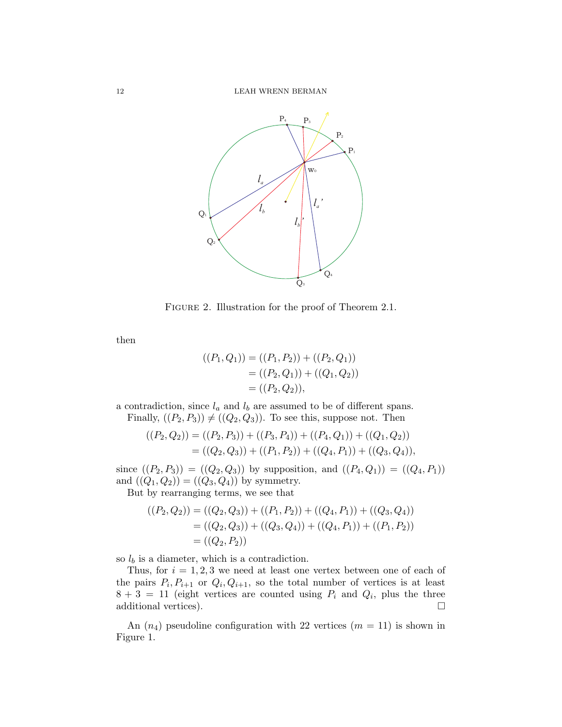

FIGURE 2. Illustration for the proof of Theorem 2.1.

then

$$
((P_1, Q_1)) = ((P_1, P_2)) + ((P_2, Q_1))
$$
  
= ((P\_2, Q\_1)) + ((Q\_1, Q\_2))  
= ((P\_2, Q\_2)),

a contradiction, since  $l_a$  and  $l_b$  are assumed to be of different spans. Finally,  $((P_2, P_3)) \neq ((Q_2, Q_3))$ . To see this, suppose not. Then

$$
((P_2, Q_2)) = ((P_2, P_3)) + ((P_3, P_4)) + ((P_4, Q_1)) + ((Q_1, Q_2))
$$
  
= ((Q\_2, Q\_3)) + ((P\_1, P\_2)) + ((Q\_4, P\_1)) + ((Q\_3, Q\_4)),

since  $((P_2, P_3)) = ((Q_2, Q_3))$  by supposition, and  $((P_4, Q_1)) = ((Q_4, P_1))$ and  $((Q_1, Q_2)) = ((Q_3, Q_4))$  by symmetry.

But by rearranging terms, we see that

$$
((P_2, Q_2)) = ((Q_2, Q_3)) + ((P_1, P_2)) + ((Q_4, P_1)) + ((Q_3, Q_4))
$$
  
= ((Q\_2, Q\_3)) + ((Q\_3, Q\_4)) + ((Q\_4, P\_1)) + ((P\_1, P\_2))  
= ((Q\_2, P\_2))

so  $l_b$  is a diameter, which is a contradiction.

Thus, for  $i = 1, 2, 3$  we need at least one vertex between one of each of the pairs  $P_i, P_{i+1}$  or  $Q_i, Q_{i+1}$ , so the total number of vertices is at least  $8 + 3 = 11$  (eight vertices are counted using  $P_i$  and  $Q_i$ , plus the three additional vertices).  $\Box$ 

An  $(n_4)$  pseudoline configuration with 22 vertices  $(m = 11)$  is shown in Figure 1.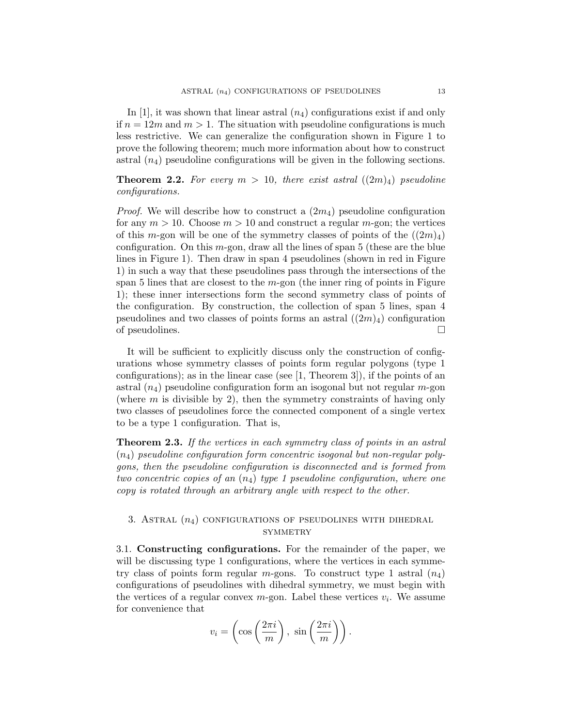In [1], it was shown that linear astral  $(n_4)$  configurations exist if and only if  $n = 12m$  and  $m > 1$ . The situation with pseudoline configurations is much less restrictive. We can generalize the configuration shown in Figure 1 to prove the following theorem; much more information about how to construct astral  $(n_4)$  pseudoline configurations will be given in the following sections.

**Theorem 2.2.** For every  $m > 10$ , there exist astral  $((2m)_4)$  pseudoline configurations.

*Proof.* We will describe how to construct a  $(2m<sub>4</sub>)$  pseudoline configuration for any  $m > 10$ . Choose  $m > 10$  and construct a regular m-gon; the vertices of this m-gon will be one of the symmetry classes of points of the  $((2m)<sub>4</sub>)$ configuration. On this  $m$ -gon, draw all the lines of span 5 (these are the blue lines in Figure 1). Then draw in span 4 pseudolines (shown in red in Figure 1) in such a way that these pseudolines pass through the intersections of the span 5 lines that are closest to the  $m$ -gon (the inner ring of points in Figure 1); these inner intersections form the second symmetry class of points of the configuration. By construction, the collection of span 5 lines, span 4 pseudolines and two classes of points forms an astral  $((2m)_4)$  configuration of pseudolines.

It will be sufficient to explicitly discuss only the construction of configurations whose symmetry classes of points form regular polygons (type 1 configurations); as in the linear case (see  $[1,$  Theorem 3), if the points of an astral  $(n_4)$  pseudoline configuration form an isogonal but not regular m-gon (where  $m$  is divisible by 2), then the symmetry constraints of having only two classes of pseudolines force the connected component of a single vertex to be a type 1 configuration. That is,

**Theorem 2.3.** If the vertices in each symmetry class of points in an astral  $(n_4)$  pseudoline configuration form concentric isogonal but non-regular polygons, then the pseudoline configuration is disconnected and is formed from two concentric copies of an  $(n_4)$  type 1 pseudoline configuration, where one copy is rotated through an arbitrary angle with respect to the other.

# 3. ASTRAL  $(n_4)$  CONFIGURATIONS OF PSEUDOLINES WITH DIHEDRAL **SYMMETRY**

3.1. Constructing configurations. For the remainder of the paper, we will be discussing type 1 configurations, where the vertices in each symmetry class of points form regular m-gons. To construct type 1 astral  $(n_4)$ configurations of pseudolines with dihedral symmetry, we must begin with the vertices of a regular convex  $m$ -gon. Label these vertices  $v_i$ . We assume for convenience that

$$
v_i = \left(\cos\left(\frac{2\pi i}{m}\right), \sin\left(\frac{2\pi i}{m}\right)\right).
$$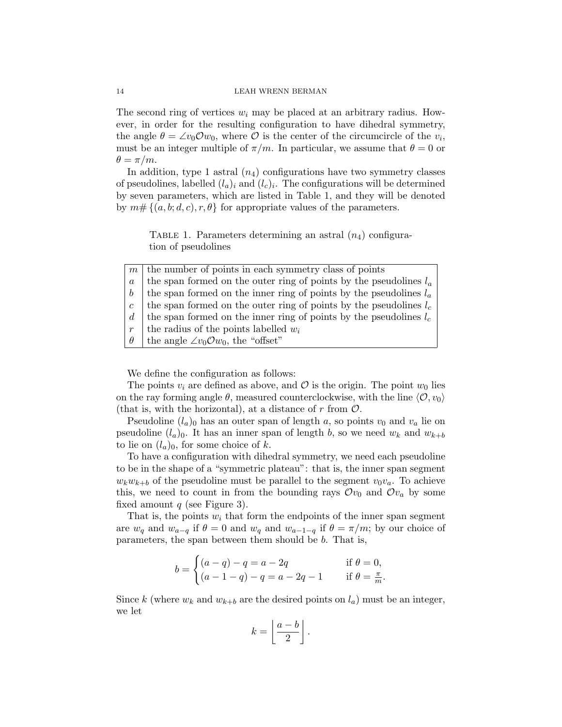#### 14 LEAH WRENN BERMAN

The second ring of vertices  $w_i$  may be placed at an arbitrary radius. However, in order for the resulting configuration to have dihedral symmetry, the angle  $\theta = \angle v_0 \mathcal{O} w_0$ , where  $\overline{\mathcal{O}}$  is the center of the circumcircle of the  $v_i$ , must be an integer multiple of  $\pi/m$ . In particular, we assume that  $\theta = 0$  or  $\theta = \pi/m$ .

In addition, type 1 astral  $(n_4)$  configurations have two symmetry classes of pseudolines, labelled  $(l_a)_i$  and  $(l_c)_i$ . The configurations will be determined by seven parameters, which are listed in Table 1, and they will be denoted by  $m \# \{(a, b; d, c), r, \theta\}$  for appropriate values of the parameters.

TABLE 1. Parameters determining an astral  $(n_4)$  configuration of pseudolines

|                   | $m \mid$ the number of points in each symmetry class of points       |
|-------------------|----------------------------------------------------------------------|
| $\boldsymbol{a}$  | the span formed on the outer ring of points by the pseudolines $l_a$ |
| $\bm{b}$          | the span formed on the inner ring of points by the pseudolines $l_a$ |
| $\mathfrak{c}$    | the span formed on the outer ring of points by the pseudolines $l_c$ |
| $d_{\mathcal{A}}$ | the span formed on the inner ring of points by the pseudolines $l_c$ |
| $\boldsymbol{r}$  | the radius of the points labelled $w_i$                              |
| $\theta$          | the angle $\angle v_0 \mathcal{O} w_0$ , the "offset"                |

We define the configuration as follows:

The points  $v_i$  are defined as above, and  $\mathcal O$  is the origin. The point  $w_0$  lies on the ray forming angle  $\theta$ , measured counterclockwise, with the line  $\langle \mathcal{O}, v_0 \rangle$ (that is, with the horizontal), at a distance of r from  $\mathcal{O}$ .

Pseudoline  $(l_a)_0$  has an outer span of length a, so points  $v_0$  and  $v_a$  lie on pseudoline  $(l_a)_0$ . It has an inner span of length b, so we need  $w_k$  and  $w_{k+b}$ to lie on  $(l_a)_0$ , for some choice of k.

To have a configuration with dihedral symmetry, we need each pseudoline to be in the shape of a "symmetric plateau": that is, the inner span segment  $w_kw_{k+b}$  of the pseudoline must be parallel to the segment  $v_0v_a$ . To achieve this, we need to count in from the bounding rays  $\mathcal{O}v_0$  and  $\mathcal{O}v_a$  by some fixed amount  $q$  (see Figure 3).

That is, the points  $w_i$  that form the endpoints of the inner span segment are  $w_q$  and  $w_{a-q}$  if  $\theta = 0$  and  $w_q$  and  $w_{a-1-q}$  if  $\theta = \pi/m$ ; by our choice of parameters, the span between them should be b. That is,

$$
b = \begin{cases} (a - q) - q = a - 2q & \text{if } \theta = 0, \\ (a - 1 - q) - q = a - 2q - 1 & \text{if } \theta = \frac{\pi}{m} \end{cases}
$$

.

Since k (where  $w_k$  and  $w_{k+b}$  are the desired points on  $l_a$ ) must be an integer, we let

$$
k = \left\lfloor \frac{a-b}{2} \right\rfloor.
$$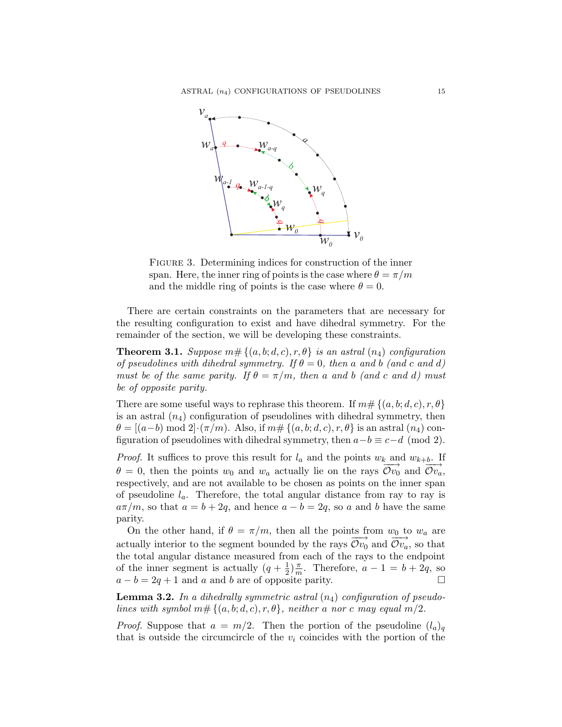

FIGURE 3. Determining indices for construction of the inner span. Here, the inner ring of points is the case where  $\theta = \pi/m$ and the middle ring of points is the case where  $\theta = 0$ .

There are certain constraints on the parameters that are necessary for the resulting configuration to exist and have dihedral symmetry. For the remainder of the section, we will be developing these constraints.

**Theorem 3.1.** Suppose  $m \# \{(a, b; d, c), r, \theta\}$  is an astral  $(n_4)$  configuration of pseudolines with dihedral symmetry. If  $\theta = 0$ , then a and b (and c and d) must be of the same parity. If  $\theta = \pi/m$ , then a and b (and c and d) must be of opposite parity.

There are some useful ways to rephrase this theorem. If  $m \# \{ (a, b; d, c), r, \theta \}$ is an astral  $(n_4)$  configuration of pseudolines with dihedral symmetry, then  $\theta = (a-b) \mod 2 \cdot (\pi/m)$ . Also, if  $m \# \{ (a, b; d, c), r, \theta \}$  is an astral  $(n_4)$  configuration of pseudolines with dihedral symmetry, then  $a-b \equiv c-d \pmod{2}$ .

*Proof.* It suffices to prove this result for  $l_a$  and the points  $w_k$  and  $w_{k+b}$ . If  $\theta = 0$ , then the points  $w_0$  and  $w_a$  actually lie on the rays  $\overrightarrow{Ov_0}$  and  $\overrightarrow{Ov_a}$ , respectively, and are not available to be chosen as points on the inner span of pseudoline  $l_a$ . Therefore, the total angular distance from ray to ray is  $a\pi/m$ , so that  $a = b + 2q$ , and hence  $a - b = 2q$ , so a and b have the same parity.

On the other hand, if  $\theta = \pi/m$ , then all the points from  $w_0$  to  $w_a$  are actually interior to the segment bounded by the rays  $\overrightarrow{Ov_0}$  and  $\overrightarrow{Ov_a}$ , so that the total angular distance measured from each of the rays to the endpoint of the inner segment is actually  $(q + \frac{1}{2})$  $\frac{1}{2}$ ) $\frac{\pi}{m}$  $\frac{\pi}{m}$ . Therefore,  $a - 1 = b + 2q$ , so  $a - b = 2q + 1$  and a and b are of opposite parity.

**Lemma 3.2.** In a dihedrally symmetric astral  $(n_4)$  configuration of pseudolines with symbol  $m# \{(a, b; d, c), r, \theta\}$ , neither a nor c may equal m/2.

*Proof.* Suppose that  $a = m/2$ . Then the portion of the pseudoline  $(l_a)_q$ that is outside the circumcircle of the  $v_i$  coincides with the portion of the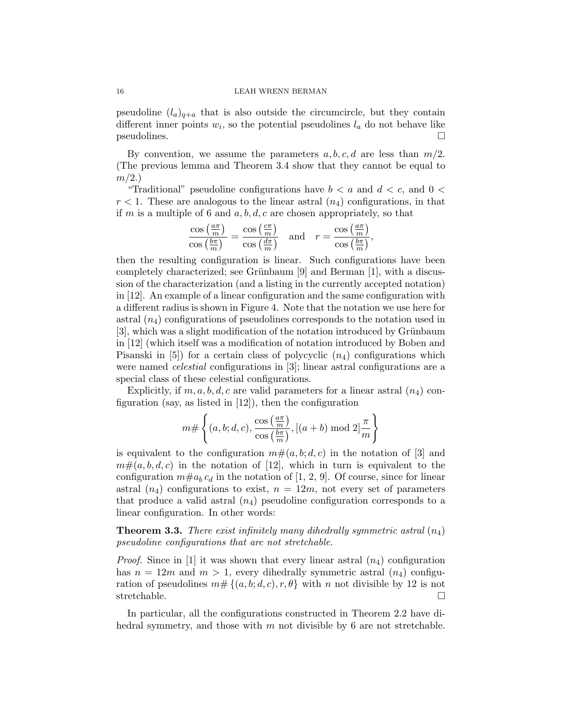#### 16 LEAH WRENN BERMAN

pseudoline  $(l_a)_{a+a}$  that is also outside the circumcircle, but they contain different inner points  $w_i$ , so the potential pseudolines  $l_a$  do not behave like  $p$ seudolines.

By convention, we assume the parameters  $a, b, c, d$  are less than  $m/2$ . (The previous lemma and Theorem 3.4 show that they cannot be equal to  $m/2.$ 

"Traditional" pseudoline configurations have  $b < a$  and  $d < c$ , and  $0 < a$  $r < 1$ . These are analogous to the linear astral  $(n_4)$  configurations, in that if m is a multiple of 6 and a, b, d, c are chosen appropriately, so that

$$
\frac{\cos\left(\frac{a\pi}{m}\right)}{\cos\left(\frac{b\pi}{m}\right)} = \frac{\cos\left(\frac{c\pi}{m}\right)}{\cos\left(\frac{d\pi}{m}\right)}
$$
 and  $r = \frac{\cos\left(\frac{a\pi}{m}\right)}{\cos\left(\frac{b\pi}{m}\right)}$ ,

then the resulting configuration is linear. Such configurations have been completely characterized; see Grünbaum  $[9]$  and Berman  $[1]$ , with a discussion of the characterization (and a listing in the currently accepted notation) in [12]. An example of a linear configuration and the same configuration with a different radius is shown in Figure 4. Note that the notation we use here for astral  $(n_4)$  configurations of pseudolines corresponds to the notation used in  $[3]$ , which was a slight modification of the notation introduced by Grünbaum in [12] (which itself was a modification of notation introduced by Boben and Pisanski in [5]) for a certain class of polycyclic  $(n_4)$  configurations which were named celestial configurations in [3]; linear astral configurations are a special class of these celestial configurations.

Explicitly, if  $m, a, b, d, c$  are valid parameters for a linear astral  $(n_4)$  configuration (say, as listed in [12]), then the configuration

$$
m \# \left\{ (a, b; d, c), \frac{\cos\left(\frac{a\pi}{m}\right)}{\cos\left(\frac{b\pi}{m}\right)}, [(a + b) \bmod 2] \frac{\pi}{m} \right\}
$$

is equivalent to the configuration  $m\#(a, b; d, c)$  in the notation of [3] and  $m\#(a, b, d, c)$  in the notation of [12], which in turn is equivalent to the configuration  $m\#a_b c_d$  in the notation of [1, 2, 9]. Of course, since for linear astral  $(n_4)$  configurations to exist,  $n = 12m$ , not every set of parameters that produce a valid astral  $(n_4)$  pseudoline configuration corresponds to a linear configuration. In other words:

**Theorem 3.3.** There exist infinitely many dihedrally symmetric astral  $(n_4)$ pseudoline configurations that are not stretchable.

*Proof.* Since in [1] it was shown that every linear astral  $(n_4)$  configuration has  $n = 12m$  and  $m > 1$ , every dihedrally symmetric astral  $(n_4)$  configuration of pseudolines  $m \# \{ (a, b; d, c), r, \theta \}$  with n not divisible by 12 is not stretchable.  $\square$ 

In particular, all the configurations constructed in Theorem 2.2 have dihedral symmetry, and those with  $m$  not divisible by 6 are not stretchable.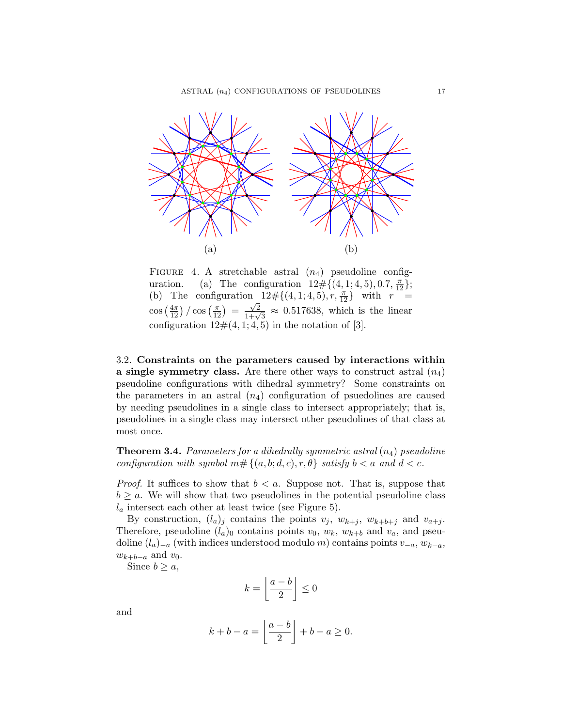

FIGURE 4. A stretchable astral  $(n_4)$  pseudoline configuration. (a) The configuration  $12\# \{(4,1;4,5), 0.7, \frac{\pi}{12}\};$ (b) The configuration  $12\# \{(4,1;4,5), r, \frac{\pi}{12}\}\$  with  $r =$  $\cos\left(\frac{4\pi}{12}\right)/\cos\left(\frac{\pi}{12}\right) = \frac{\sqrt{2}}{1+\sqrt{3}} \approx 0.517638$ , which is the linear configuration  $12\#(4, 1; 4, 5)$  in the notation of [3].

3.2. Constraints on the parameters caused by interactions within a single symmetry class. Are there other ways to construct astral  $(n_4)$ pseudoline configurations with dihedral symmetry? Some constraints on the parameters in an astral  $(n_4)$  configuration of psuedolines are caused by needing pseudolines in a single class to intersect appropriately; that is, pseudolines in a single class may intersect other pseudolines of that class at most once.

**Theorem 3.4.** Parameters for a dihedrally symmetric astral  $(n_4)$  pseudoline configuration with symbol  $m# \{(a, b; d, c), r, \theta\}$  satisfy  $b < a$  and  $d < c$ .

*Proof.* It suffices to show that  $b < a$ . Suppose not. That is, suppose that  $b \ge a$ . We will show that two pseudolines in the potential pseudoline class  $l_a$  intersect each other at least twice (see Figure 5).

By construction,  $(l_a)_j$  contains the points  $v_j$ ,  $w_{k+j}$ ,  $w_{k+b+j}$  and  $v_{a+j}$ . Therefore, pseudoline  $(l_a)$ <sup>0</sup> contains points  $v_0$ ,  $w_k$ ,  $w_{k+b}$  and  $v_a$ , and pseudoline  $(l_a)_{-a}$  (with indices understood modulo m) contains points  $v_{-a}$ ,  $w_{k-a}$ ,  $w_{k+b-a}$  and  $v_0$ .

Since  $b \geq a$ ,

$$
k = \left\lfloor \frac{a-b}{2} \right\rfloor \le 0
$$

and

$$
k + b - a = \left\lfloor \frac{a - b}{2} \right\rfloor + b - a \ge 0.
$$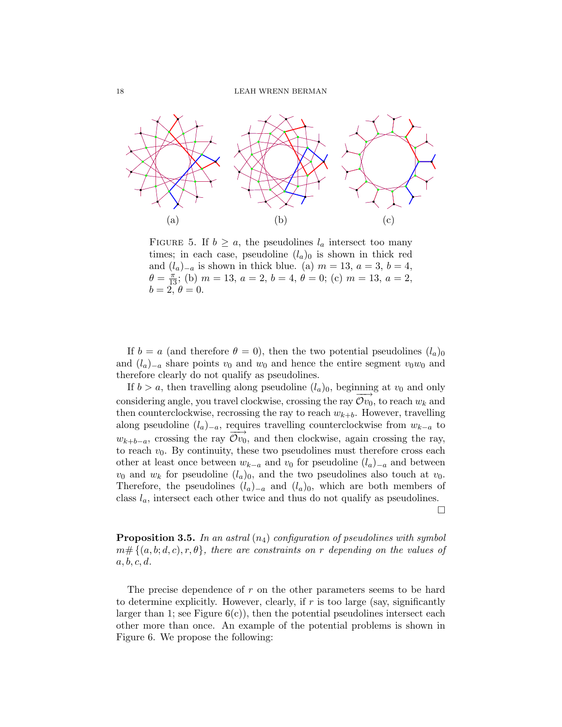

FIGURE 5. If  $b \ge a$ , the pseudolines  $l_a$  intersect too many times; in each case, pseudoline  $(l_a)_0$  is shown in thick red and  $(l_a)_{-a}$  is shown in thick blue. (a)  $m = 13$ ,  $a = 3$ ,  $b = 4$ ,  $\theta = \frac{\pi}{13}$ ; (b)  $m = 13$ ,  $a = 2$ ,  $b = 4$ ,  $\theta = 0$ ; (c)  $m = 13$ ,  $a = 2$ ,  $b=2, \theta=0.$ 

If  $b = a$  (and therefore  $\theta = 0$ ), then the two potential pseudolines  $(l_a)_0$ and  $(l_a)_{-a}$  share points  $v_0$  and  $w_0$  and hence the entire segment  $v_0w_0$  and therefore clearly do not qualify as pseudolines.

If  $b > a$ , then travelling along pseudoline  $(l_a)_0$ , beginning at  $v_0$  and only considering angle, you travel clockwise, crossing the ray  $Ov_0$ , to reach  $w_k$  and then counterclockwise, recrossing the ray to reach  $w_{k+b}$ . However, travelling along pseudoline  $(l_a)_{-a}$ , requires travelling counterclockwise from  $w_{k-a}$  to  $w_{k+b-a}$ , crossing the ray  $\mathcal{O}v_0$ , and then clockwise, again crossing the ray, to reach  $v_0$ . By continuity, these two pseudolines must therefore cross each other at least once between  $w_{k-a}$  and  $v_0$  for pseudoline  $(l_a)_{-a}$  and between  $v_0$  and  $w_k$  for pseudoline  $(l_a)_0$ , and the two pseudolines also touch at  $v_0$ . Therefore, the pseudolines  $(l_a)_{-a}$  and  $(l_a)_0$ , which are both members of class  $l_a$ , intersect each other twice and thus do not qualify as pseudolines.

 $\Box$ 

**Proposition 3.5.** In an astral  $(n_4)$  configuration of pseudolines with symbol  $m \# \{ (a, b; d, c), r, \theta \},$  there are constraints on r depending on the values of  $a, b, c, d.$ 

The precise dependence of  $r$  on the other parameters seems to be hard to determine explicitly. However, clearly, if  $r$  is too large (say, significantly larger than 1; see Figure  $6(c)$ , then the potential pseudolines intersect each other more than once. An example of the potential problems is shown in Figure 6. We propose the following: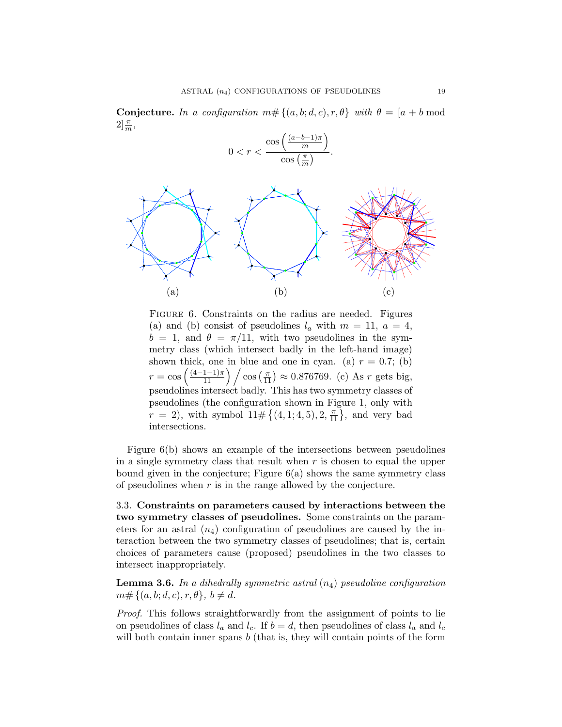**Conjecture.** In a configuration  $m \# \{(a, b; d, c), r, \theta\}$  with  $\theta = [a + b \mod 1]$  $2\frac{\pi}{m}$ ,

$$
0 < r < \frac{\cos\left(\frac{(a-b-1)\pi}{m}\right)}{\cos\left(\frac{\pi}{m}\right)}.
$$



FIGURE 6. Constraints on the radius are needed. Figures (a) and (b) consist of pseudolines  $l_a$  with  $m = 11, a = 4,$  $b = 1$ , and  $\theta = \pi/11$ , with two pseudolines in the symmetry class (which intersect badly in the left-hand image) shown thick, one in blue and one in cyan. (a)  $r = 0.7$ ; (b)  $r = \cos\left(\frac{(4-1-1)\pi}{11}\right) / \cos\left(\frac{\pi}{11}\right) \approx 0.876769.$  (c) As r gets big, pseudolines intersect badly. This has two symmetry classes of pseudolines (the configuration shown in Figure 1, only with  $r = 2$ , with symbol  $11 \# \{(4, 1; 4, 5), 2, \frac{\pi}{11}\}\,$  and very bad intersections.

Figure 6(b) shows an example of the intersections between pseudolines in a single symmetry class that result when  $r$  is chosen to equal the upper bound given in the conjecture; Figure 6(a) shows the same symmetry class of pseudolines when  $r$  is in the range allowed by the conjecture.

3.3. Constraints on parameters caused by interactions between the two symmetry classes of pseudolines. Some constraints on the parameters for an astral  $(n_4)$  configuration of pseudolines are caused by the interaction between the two symmetry classes of pseudolines; that is, certain choices of parameters cause (proposed) pseudolines in the two classes to intersect inappropriately.

**Lemma 3.6.** In a dihedrally symmetric astral  $(n_4)$  pseudoline configuration  $m \# \{(a, b; d, c), r, \theta\}, b \neq d.$ 

Proof. This follows straightforwardly from the assignment of points to lie on pseudolines of class  $l_a$  and  $l_c$ . If  $b = d$ , then pseudolines of class  $l_a$  and  $l_c$ will both contain inner spans  $b$  (that is, they will contain points of the form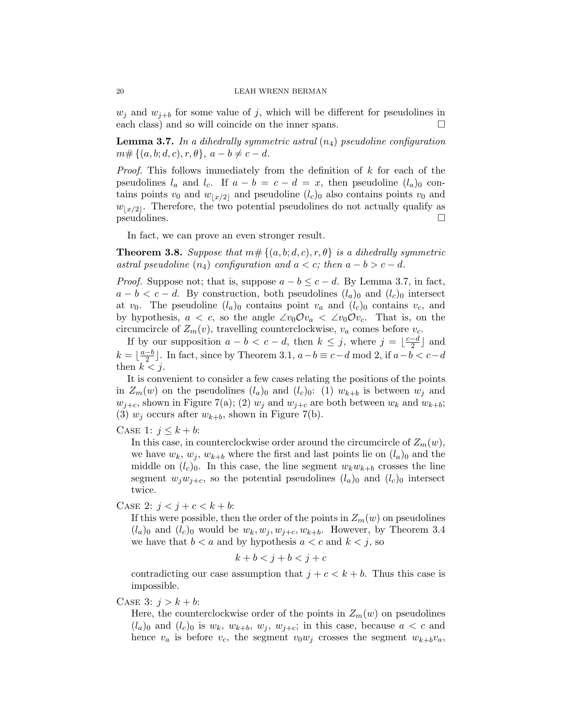$w_i$  and  $w_{i+b}$  for some value of j, which will be different for pseudolines in each class) and so will coincide on the inner spans.

**Lemma 3.7.** In a dihedrally symmetric astral  $(n_4)$  pseudoline configuration  $m \# \{ (a, b; d, c), r, \theta \}, a - b \neq c - d.$ 

*Proof.* This follows immediately from the definition of  $k$  for each of the pseudolines  $l_a$  and  $l_c$ . If  $a - b = c - d = x$ , then pseudoline  $(l_a)_0$  contains points  $v_0$  and  $w_{\lfloor x/2 \rfloor}$  and pseudoline  $(l_c)_0$  also contains points  $v_0$  and  $w_{\lfloor x/2 \rfloor}$ . Therefore, the two potential pseudolines do not actually qualify as  $p$ seudolines.

In fact, we can prove an even stronger result.

**Theorem 3.8.** Suppose that  $m# \{(a, b; d, c), r, \theta\}$  is a dihedrally symmetric astral pseudoline  $(n_4)$  configuration and  $a < c$ ; then  $a - b > c - d$ .

*Proof.* Suppose not; that is, suppose  $a - b \leq c - d$ . By Lemma 3.7, in fact,  $a - b < c - d$ . By construction, both pseudolines  $(l_a)$ <sub>0</sub> and  $(l_c)$ <sub>0</sub> intersect at  $v_0$ . The pseudoline  $(l_a)$  contains point  $v_a$  and  $(l_c)$  contains  $v_c$ , and by hypothesis,  $a < c$ , so the angle  $\angle v_0 \mathcal{O} v_a < v_0 \mathcal{O} v_c$ . That is, on the circumcircle of  $Z_m(v)$ , travelling counterclockwise,  $v_a$  comes before  $v_c$ .

If by our supposition  $a - b < c - d$ , then  $k \leq j$ , where  $j = \lfloor \frac{c-d}{2} \rfloor$  $\frac{-d}{2}$  and  $k = \left\lfloor \frac{a-b}{2} \right\rfloor$  $\frac{-b}{2}$ . In fact, since by Theorem 3.1,  $a - b \equiv c - d \mod 2$ , if  $a - b < c - d$ then  $k < j$ .

It is convenient to consider a few cases relating the positions of the points in  $Z_m(w)$  on the pseudolines  $(l_a)_0$  and  $(l_c)_0$ : (1)  $w_{k+b}$  is between  $w_j$  and  $w_{j+c}$ , shown in Figure 7(a); (2)  $w_j$  and  $w_{j+c}$  are both between  $w_k$  and  $w_{k+b}$ ; (3)  $w_j$  occurs after  $w_{k+b}$ , shown in Figure 7(b).

## CASE 1:  $j \leq k + b$ :

In this case, in counterclockwise order around the circumcircle of  $Z_m(w)$ , we have  $w_k$ ,  $w_j$ ,  $w_{k+b}$  where the first and last points lie on  $(l_a)_0$  and the middle on  $(l_c)_0$ . In this case, the line segment  $w_kw_{k+b}$  crosses the line segment  $w_jw_{j+c}$ , so the potential pseudolines  $(l_a)_0$  and  $(l_c)_0$  intersect twice.

## CASE 2:  $j < j + c < k + b$ :

If this were possible, then the order of the points in  $Z_m(w)$  on pseudolines  $(l_a)_0$  and  $(l_c)_0$  would be  $w_k, w_j, w_{j+c}, w_{k+b}$ . However, by Theorem 3.4 we have that  $b < a$  and by hypothesis  $a < c$  and  $k < j$ , so

$$
k+b
$$

contradicting our case assumption that  $j + c < k + b$ . Thus this case is impossible.

CASE 3:  $j > k + b$ :

Here, the counterclockwise order of the points in  $Z_m(w)$  on pseudolines  $(l_a)_0$  and  $(l_c)_0$  is  $w_k$ ,  $w_{k+b}$ ,  $w_j$ ,  $w_{j+c}$ ; in this case, because  $a < c$  and hence  $v_a$  is before  $v_c$ , the segment  $v_0w_j$  crosses the segment  $w_{k+b}v_a$ ,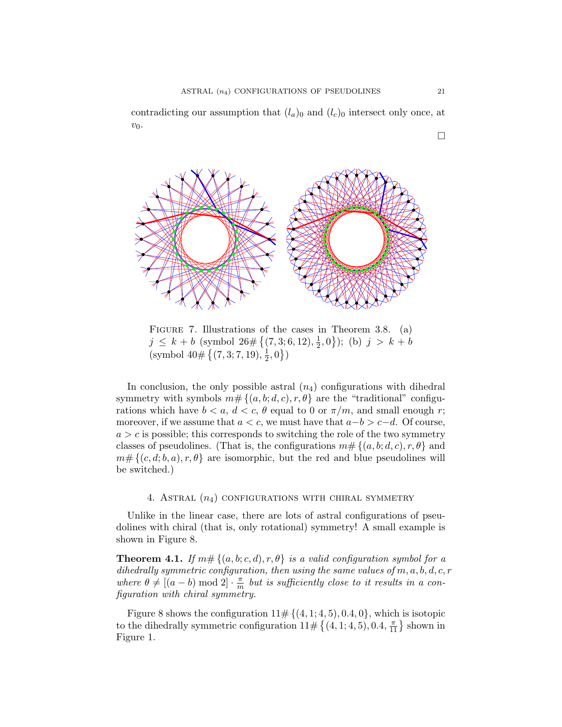contradicting our assumption that  $(l_a)$ <sub>0</sub> and  $(l_c)$ <sub>0</sub> intersect only once, at  $v_0$ .



FIGURE 7. Illustrations of the cases in Theorem 3.8. (a)  $j \leq k + b$  (symbol  $26 \# \{(7,3;6,12),\frac{1}{2}\}$  $\{\frac{1}{2}, 0\}$ ); (b)  $j > k + b$  $\left(\text{symbol }40\#\left\{ (7,3;7,19),\frac{1}{2}\right\} \right)$  $\frac{1}{2}, 0 \}$ 

In conclusion, the only possible astral  $(n_4)$  configurations with dihedral symmetry with symbols  $m# \{(a, b; d, c), r, \theta\}$  are the "traditional" configurations which have  $b < a, d < c, \theta$  equal to 0 or  $\pi/m$ , and small enough r; moreover, if we assume that  $a < c$ , we must have that  $a - b > c - d$ . Of course,  $a > c$  is possible; this corresponds to switching the role of the two symmetry classes of pseudolines. (That is, the configurations  $m \# \{ (a, b; d, c), r, \theta \}$  and  $m \# \{ (c, d; b, a), r, \theta \}$  are isomorphic, but the red and blue pseudolines will be switched.)

## 4. ASTRAL  $(n_4)$  CONFIGURATIONS WITH CHIRAL SYMMETRY

Unlike in the linear case, there are lots of astral configurations of pseudolines with chiral (that is, only rotational) symmetry! A small example is shown in Figure 8.

**Theorem 4.1.** If  $m# \{(a, b; c, d), r, \theta\}$  is a valid configuration symbol for a dihedrally symmetric configuration, then using the same values of  $m, a, b, d, c, r$ where  $\theta \neq [(a - b) \mod 2] \cdot \frac{\pi}{m}$  $\frac{\pi}{m}$  but is sufficiently close to it results in a configuration with chiral symmetry.

Figure 8 shows the configuration  $11 \# \{(4, 1; 4, 5), 0.4, 0\}$ , which is isotopic to the dihedrally symmetric configuration  $11 \# \{(4, 1; 4, 5), 0.4, \frac{\pi}{11}\}$  shown in Figure 1.

 $\Box$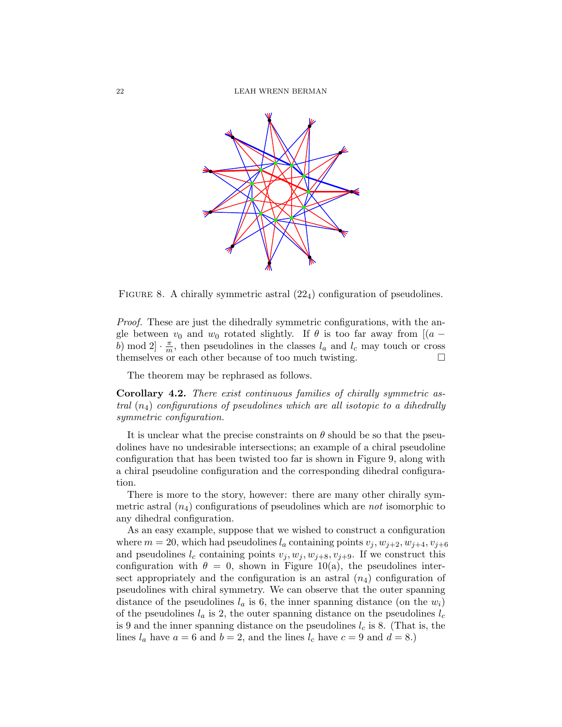

FIGURE 8. A chirally symmetric astral  $(22<sub>4</sub>)$  configuration of pseudolines.

Proof. These are just the dihedrally symmetric configurations, with the angle between  $v_0$  and  $w_0$  rotated slightly. If  $\theta$  is too far away from  $[(a$ b) mod  $2 \cdot \frac{\pi}{m}$  $\frac{\pi}{m}$ , then pseudolines in the classes  $l_a$  and  $l_c$  may touch or cross themselves or each other because of too much twisting.

The theorem may be rephrased as follows.

Corollary 4.2. There exist continuous families of chirally symmetric astral  $(n_4)$  configurations of pseudolines which are all isotopic to a dihedrally symmetric configuration.

It is unclear what the precise constraints on  $\theta$  should be so that the pseudolines have no undesirable intersections; an example of a chiral pseudoline configuration that has been twisted too far is shown in Figure 9, along with a chiral pseudoline configuration and the corresponding dihedral configuration.

There is more to the story, however: there are many other chirally symmetric astral  $(n_4)$  configurations of pseudolines which are *not* isomorphic to any dihedral configuration.

As an easy example, suppose that we wished to construct a configuration where  $m = 20$ , which had pseudolines  $l_a$  containing points  $v_j, w_{j+2}, w_{j+4}, v_{j+6}$ and pseudolines  $l_c$  containing points  $v_j, w_j, w_{j+8}, v_{j+9}$ . If we construct this configuration with  $\theta = 0$ , shown in Figure 10(a), the pseudolines intersect appropriately and the configuration is an astral  $(n_4)$  configuration of pseudolines with chiral symmetry. We can observe that the outer spanning distance of the pseudolines  $l_a$  is 6, the inner spanning distance (on the  $w_i$ ) of the pseudolines  $l_a$  is 2, the outer spanning distance on the pseudolines  $l_c$ is 9 and the inner spanning distance on the pseudolines  $l_c$  is 8. (That is, the lines  $l_a$  have  $a = 6$  and  $b = 2$ , and the lines  $l_c$  have  $c = 9$  and  $d = 8$ .)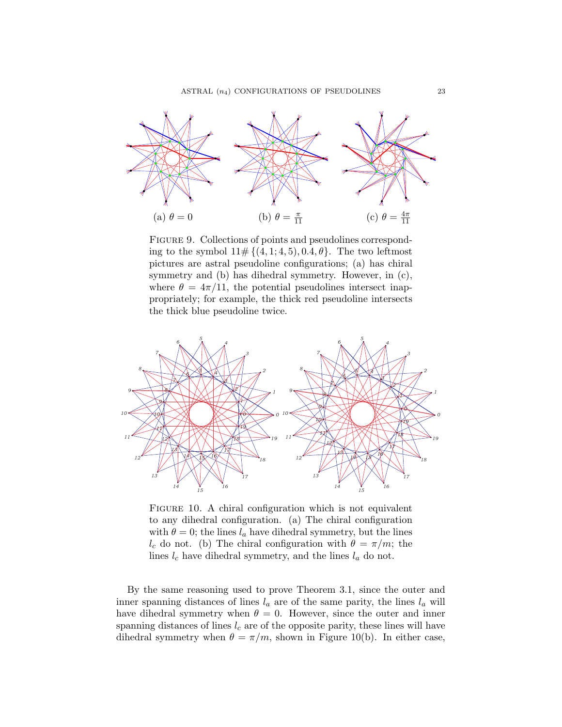

FIGURE 9. Collections of points and pseudolines corresponding to the symbol  $11 \# \{(4,1;4,5), 0.4, \theta\}$ . The two leftmost pictures are astral pseudoline configurations; (a) has chiral symmetry and (b) has dihedral symmetry. However, in (c), where  $\theta = 4\pi/11$ , the potential pseudolines intersect inappropriately; for example, the thick red pseudoline intersects the thick blue pseudoline twice.



FIGURE 10. A chiral configuration which is not equivalent to any dihedral configuration. (a) The chiral configuration with  $\theta = 0$ ; the lines  $l_a$  have dihedral symmetry, but the lines  $l_c$  do not. (b) The chiral configuration with  $\theta = \pi/m$ ; the lines  $l_c$  have dihedral symmetry, and the lines  $l_a$  do not.

By the same reasoning used to prove Theorem 3.1, since the outer and inner spanning distances of lines  $l_a$  are of the same parity, the lines  $l_a$  will have dihedral symmetry when  $\theta = 0$ . However, since the outer and inner spanning distances of lines  $l_c$  are of the opposite parity, these lines will have dihedral symmetry when  $\theta = \pi/m$ , shown in Figure 10(b). In either case,